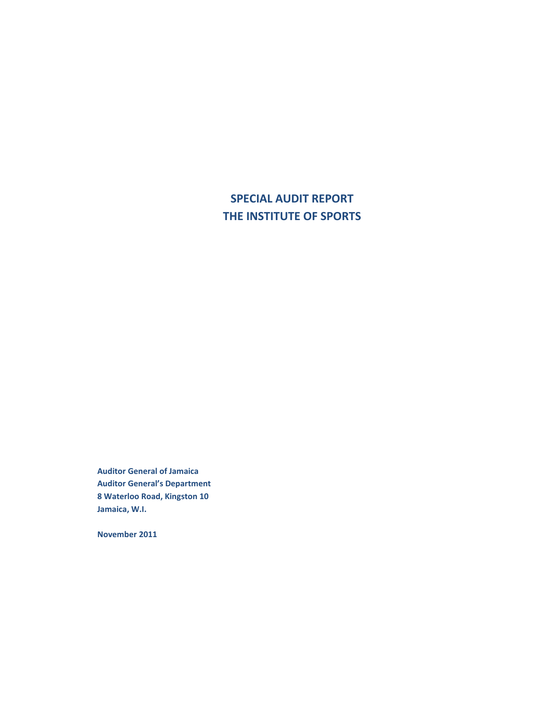**SPECIAL AUDIT REPORT THE INSTITUTE OF SPORTS** 

**Auditor General of Jamaica Auditor General's Department 8 Waterloo Road, Kingston 10 Jamaica, W.I.** 

**November 2011**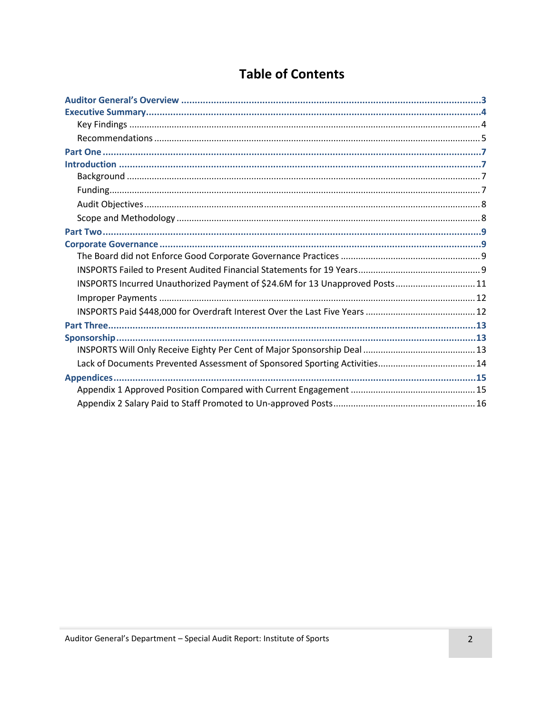# **Table of Contents**

| INSPORTS Incurred Unauthorized Payment of \$24.6M for 13 Unapproved Posts 11 |  |
|------------------------------------------------------------------------------|--|
|                                                                              |  |
|                                                                              |  |
|                                                                              |  |
|                                                                              |  |
|                                                                              |  |
|                                                                              |  |
|                                                                              |  |
|                                                                              |  |
|                                                                              |  |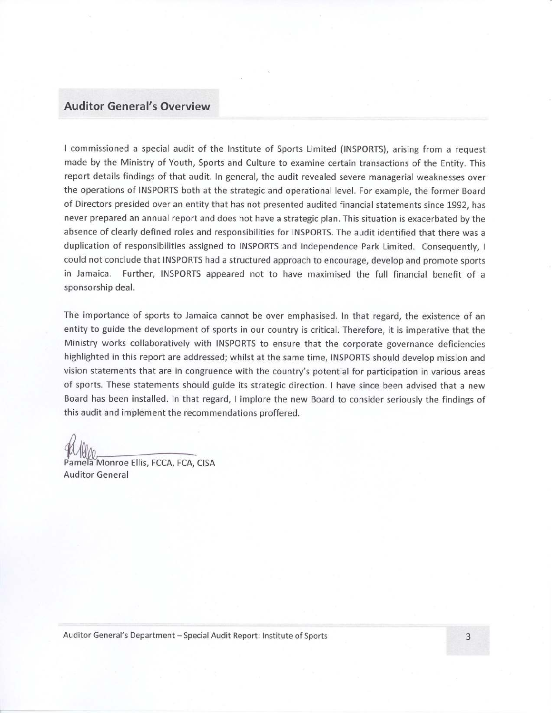#### **Auditor General's Overview**

I commissioned a special audit of the Institute of Sports Limited (INSPORTS), arising from a request made by the Ministry of Youth, Sports and Culture to examine certain transactions of the Entity. This report details findings of that audit. In general, the audit revealed severe managerial weaknesses over the operations of INSPORTS both at the strategic and operational level. For example, the former Board of Directors presided over an entity that has not presented audited financial statements since 1992, has never prepared an annual report and does not have a strategic plan. This situation is exacerbated by the absence of clearly defined roles and responsibilities for INSPORTS. The audit identified that there was a duplication of responsibilities assigned to INSPORTS and Independence Park Limited. Consequently, I could not conclude that INSPORTS had a structured approach to encourage, develop and promote sports in Jamaica. Further, INSPORTS appeared not to have maximised the full financial benefit of a sponsorship deal.

The importance of sports to Jamaica cannot be over emphasised. In that regard, the existence of an entity to guide the development of sports in our country is critical. Therefore, it is imperative that the Ministry works collaboratively with INSPORTS to ensure that the corporate governance deficiencies highlighted in this report are addressed; whilst at the same time, INSPORTS should develop mission and vision statements that are in congruence with the country's potential for participation in various areas of sports. These statements should guide its strategic direction. I have since been advised that a new Board has been installed. In that regard, I implore the new Board to consider seriously the findings of this audit and implement the recommendations proffered.

Pamela Monroe Ellis, FCCA, FCA, CISA **Auditor General** 

Auditor General's Department - Special Audit Report: Institute of Sports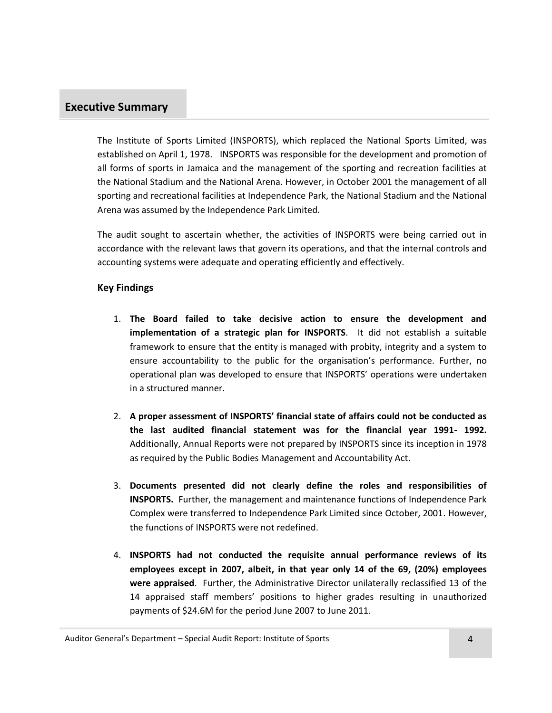### <span id="page-3-0"></span>**Executive Summary**

The Institute of Sports Limited (INSPORTS), which replaced the National Sports Limited, was established on April 1, 1978. INSPORTS was responsible for the development and promotion of all forms of sports in Jamaica and the management of the sporting and recreation facilities at the National Stadium and the National Arena. However, in October 2001 the management of all sporting and recreational facilities at Independence Park, the National Stadium and the National Arena was assumed by the Independence Park Limited.

The audit sought to ascertain whether, the activities of INSPORTS were being carried out in accordance with the relevant laws that govern its operations, and that the internal controls and accounting systems were adequate and operating efficiently and effectively.

#### <span id="page-3-1"></span>**Key Findings**

- 1. **The Board failed to take decisive action to ensure the development and implementation of a strategic plan for INSPORTS**. It did not establish a suitable framework to ensure that the entity is managed with probity, integrity and a system to ensure accountability to the public for the organisation's performance. Further, no operational plan was developed to ensure that INSPORTS' operations were undertaken in a structured manner.
- 2. **A proper assessment of INSPORTS' financial state of affairs could not be conducted as the last audited financial statement was for the financial year 1991- 1992.** Additionally, Annual Reports were not prepared by INSPORTS since its inception in 1978 as required by the Public Bodies Management and Accountability Act.
- 3. **Documents presented did not clearly define the roles and responsibilities of INSPORTS.** Further, the management and maintenance functions of Independence Park Complex were transferred to Independence Park Limited since October, 2001. However, the functions of INSPORTS were not redefined.
- 4. **INSPORTS had not conducted the requisite annual performance reviews of its employees except in 2007, albeit, in that year only 14 of the 69, (20%) employees were appraised**. Further, the Administrative Director unilaterally reclassified 13 of the 14 appraised staff members' positions to higher grades resulting in unauthorized payments of \$24.6M for the period June 2007 to June 2011.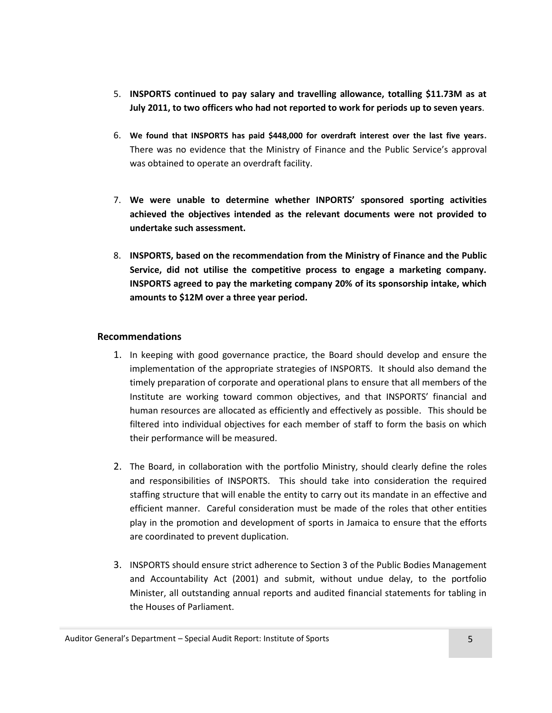- 5. **INSPORTS continued to pay salary and travelling allowance, totalling \$11.73M as at July 2011, to two officers who had not reported to work for periods up to seven years**.
- 6. **We found that INSPORTS has paid \$448,000 for overdraft interest over the last five years.**  There was no evidence that the Ministry of Finance and the Public Service's approval was obtained to operate an overdraft facility.
- 7. **We were unable to determine whether INPORTS' sponsored sporting activities achieved the objectives intended as the relevant documents were not provided to undertake such assessment.**
- 8. **INSPORTS, based on the recommendation from the Ministry of Finance and the Public Service, did not utilise the competitive process to engage a marketing company. INSPORTS agreed to pay the marketing company 20% of its sponsorship intake, which amounts to \$12M over a three year period.**

#### <span id="page-4-0"></span>**Recommendations**

- 1. In keeping with good governance practice, the Board should develop and ensure the implementation of the appropriate strategies of INSPORTS. It should also demand the timely preparation of corporate and operational plans to ensure that all members of the Institute are working toward common objectives, and that INSPORTS' financial and human resources are allocated as efficiently and effectively as possible. This should be filtered into individual objectives for each member of staff to form the basis on which their performance will be measured.
- 2. The Board, in collaboration with the portfolio Ministry, should clearly define the roles and responsibilities of INSPORTS. This should take into consideration the required staffing structure that will enable the entity to carry out its mandate in an effective and efficient manner. Careful consideration must be made of the roles that other entities play in the promotion and development of sports in Jamaica to ensure that the efforts are coordinated to prevent duplication.
- 3. INSPORTS should ensure strict adherence to Section 3 of the Public Bodies Management and Accountability Act (2001) and submit, without undue delay, to the portfolio Minister, all outstanding annual reports and audited financial statements for tabling in the Houses of Parliament.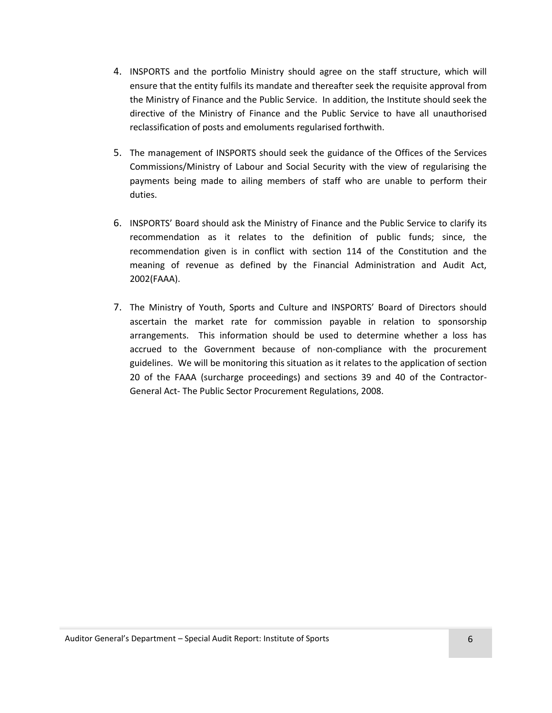- 4. INSPORTS and the portfolio Ministry should agree on the staff structure, which will ensure that the entity fulfils its mandate and thereafter seek the requisite approval from the Ministry of Finance and the Public Service. In addition, the Institute should seek the directive of the Ministry of Finance and the Public Service to have all unauthorised reclassification of posts and emoluments regularised forthwith.
- 5. The management of INSPORTS should seek the guidance of the Offices of the Services Commissions/Ministry of Labour and Social Security with the view of regularising the payments being made to ailing members of staff who are unable to perform their duties.
- 6. INSPORTS' Board should ask the Ministry of Finance and the Public Service to clarify its recommendation as it relates to the definition of public funds; since, the recommendation given is in conflict with section 114 of the Constitution and the meaning of revenue as defined by the Financial Administration and Audit Act, 2002(FAAA).
- 7. The Ministry of Youth, Sports and Culture and INSPORTS' Board of Directors should ascertain the market rate for commission payable in relation to sponsorship arrangements. This information should be used to determine whether a loss has accrued to the Government because of non-compliance with the procurement guidelines. We will be monitoring this situation as it relates to the application of section 20 of the FAAA (surcharge proceedings) and sections 39 and 40 of the Contractor-General Act- The Public Sector Procurement Regulations, 2008.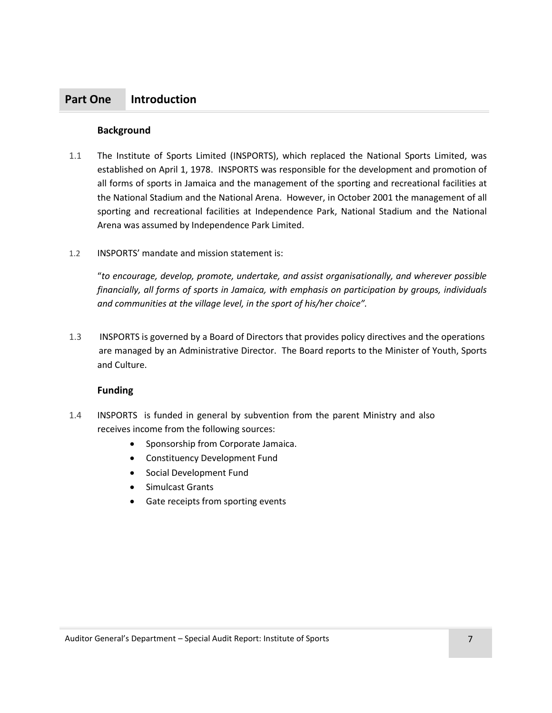### <span id="page-6-2"></span><span id="page-6-0"></span>**Part One Introduction**

#### <span id="page-6-1"></span>**Background**

- 1.1 The Institute of Sports Limited (INSPORTS), which replaced the National Sports Limited, was established on April 1, 1978. INSPORTS was responsible for the development and promotion of all forms of sports in Jamaica and the management of the sporting and recreational facilities at the National Stadium and the National Arena. However, in October 2001 the management of all sporting and recreational facilities at Independence Park, National Stadium and the National Arena was assumed by Independence Park Limited.
- 1.2 INSPORTS' mandate and mission statement is:

"*to encourage, develop, promote, undertake, and assist organisationally, and wherever possible financially, all forms of sports in Jamaica, with emphasis on participation by groups, individuals and communities at the village level, in the sport of his/her choice".*

1.3 INSPORTS is governed by a Board of Directors that provides policy directives and the operations are managed by an Administrative Director. The Board reports to the Minister of Youth, Sports and Culture.

#### **Funding**

- <span id="page-6-3"></span>1.4 INSPORTS is funded in general by subvention from the parent Ministry and also receives income from the following sources:
	- Sponsorship from Corporate Jamaica.
	- Constituency Development Fund
	- Social Development Fund
	- Simulcast Grants
	- Gate receipts from sporting events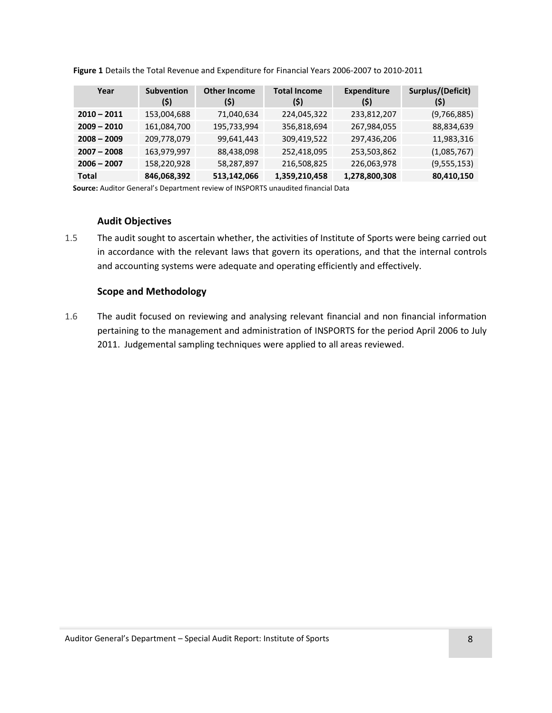| Year          | <b>Subvention</b><br>(\$) | <b>Other Income</b><br>(\$) | <b>Total Income</b><br>(\$) | <b>Expenditure</b><br>(\$) | Surplus/(Deficit)<br>(\$) |
|---------------|---------------------------|-----------------------------|-----------------------------|----------------------------|---------------------------|
| $2010 - 2011$ | 153,004,688               | 71,040,634                  | 224,045,322                 | 233,812,207                | (9,766,885)               |
| $2009 - 2010$ | 161,084,700               | 195,733,994                 | 356,818,694                 | 267,984,055                | 88,834,639                |
| $2008 - 2009$ | 209,778,079               | 99,641,443                  | 309,419,522                 | 297,436,206                | 11,983,316                |
| $2007 - 2008$ | 163,979,997               | 88,438,098                  | 252,418,095                 | 253,503,862                | (1,085,767)               |
| $2006 - 2007$ | 158,220,928               | 58,287,897                  | 216,508,825                 | 226,063,978                | (9,555,153)               |
| Total         | 846,068,392               | 513,142,066                 | 1,359,210,458               | 1,278,800,308              | 80,410,150                |

**Figure 1** Details the Total Revenue and Expenditure for Financial Years 2006-2007 to 2010-2011

<span id="page-7-0"></span>**Source:** Auditor General's Department review of INSPORTS unaudited financial Data

#### **Audit Objectives**

1.5 The audit sought to ascertain whether, the activities of Institute of Sports were being carried out in accordance with the relevant laws that govern its operations, and that the internal controls and accounting systems were adequate and operating efficiently and effectively.

#### <span id="page-7-1"></span>**Scope and Methodology**

1.6 The audit focused on reviewing and analysing relevant financial and non financial information pertaining to the management and administration of INSPORTS for the period April 2006 to July 2011. Judgemental sampling techniques were applied to all areas reviewed.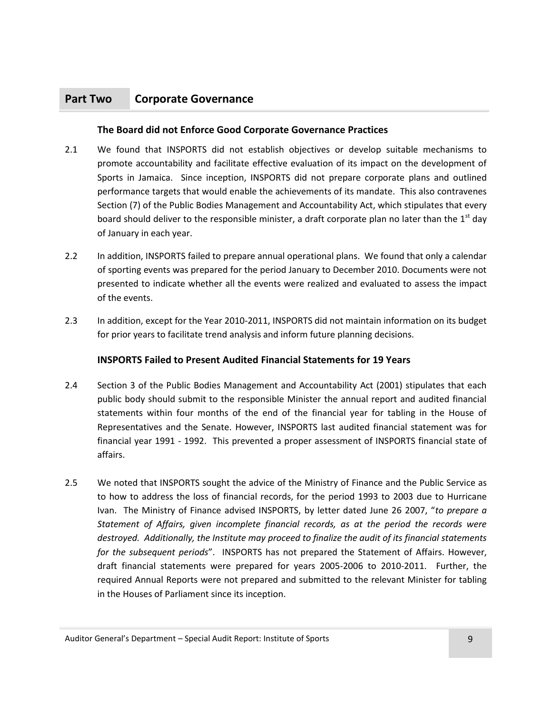# <span id="page-8-2"></span><span id="page-8-0"></span>**Part Two Corporate Governance**

#### <span id="page-8-1"></span>**The Board did not Enforce Good Corporate Governance Practices**

- 2.1 We found that INSPORTS did not establish objectives or develop suitable mechanisms to promote accountability and facilitate effective evaluation of its impact on the development of Sports in Jamaica. Since inception, INSPORTS did not prepare corporate plans and outlined performance targets that would enable the achievements of its mandate. This also contravenes Section (7) of the Public Bodies Management and Accountability Act, which stipulates that every board should deliver to the responsible minister, a draft corporate plan no later than the  $1<sup>st</sup>$  day of January in each year.
- 2.2 In addition, INSPORTS failed to prepare annual operational plans. We found that only a calendar of sporting events was prepared for the period January to December 2010. Documents were not presented to indicate whether all the events were realized and evaluated to assess the impact of the events.
- <span id="page-8-3"></span>2.3 In addition, except for the Year 2010-2011, INSPORTS did not maintain information on its budget for prior years to facilitate trend analysis and inform future planning decisions.

#### **INSPORTS Failed to Present Audited Financial Statements for 19 Years**

- 2.4 Section 3 of the Public Bodies Management and Accountability Act (2001) stipulates that each public body should submit to the responsible Minister the annual report and audited financial statements within four months of the end of the financial year for tabling in the House of Representatives and the Senate. However, INSPORTS last audited financial statement was for financial year 1991 - 1992. This prevented a proper assessment of INSPORTS financial state of affairs.
- 2.5 We noted that INSPORTS sought the advice of the Ministry of Finance and the Public Service as to how to address the loss of financial records, for the period 1993 to 2003 due to Hurricane Ivan. The Ministry of Finance advised INSPORTS, by letter dated June 26 2007, "*to prepare a Statement of Affairs, given incomplete financial records, as at the period the records were destroyed. Additionally, the Institute may proceed to finalize the audit of its financial statements for the subsequent periods*". INSPORTS has not prepared the Statement of Affairs. However, draft financial statements were prepared for years 2005-2006 to 2010-2011. Further, the required Annual Reports were not prepared and submitted to the relevant Minister for tabling in the Houses of Parliament since its inception.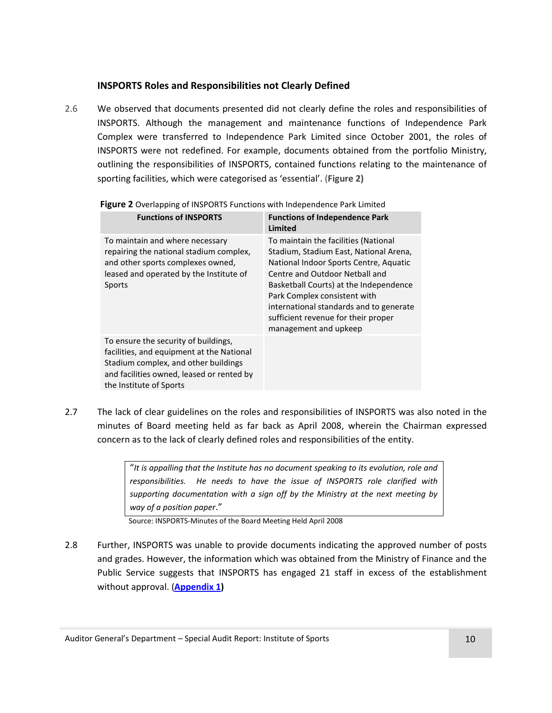#### **INSPORTS Roles and Responsibilities not Clearly Defined**

2.6 We observed that documents presented did not clearly define the roles and responsibilities of INSPORTS. Although the management and maintenance functions of Independence Park Complex were transferred to Independence Park Limited since October 2001, the roles of INSPORTS were not redefined. For example, documents obtained from the portfolio Ministry, outlining the responsibilities of INSPORTS, contained functions relating to the maintenance of sporting facilities, which were categorised as 'essential'. (**Figure 2)**

| <b>Functions of INSPORTS</b>                                                                                                                                                                      | <b>Functions of Independence Park</b><br>Limited                                                                                                                                                                                                                                                                                                |
|---------------------------------------------------------------------------------------------------------------------------------------------------------------------------------------------------|-------------------------------------------------------------------------------------------------------------------------------------------------------------------------------------------------------------------------------------------------------------------------------------------------------------------------------------------------|
| To maintain and where necessary<br>repairing the national stadium complex,<br>and other sports complexes owned,<br>leased and operated by the Institute of<br>Sports                              | To maintain the facilities (National<br>Stadium, Stadium East, National Arena,<br>National Indoor Sports Centre, Aquatic<br>Centre and Outdoor Netball and<br>Basketball Courts) at the Independence<br>Park Complex consistent with<br>international standards and to generate<br>sufficient revenue for their proper<br>management and upkeep |
| To ensure the security of buildings,<br>facilities, and equipment at the National<br>Stadium complex, and other buildings<br>and facilities owned, leased or rented by<br>the Institute of Sports |                                                                                                                                                                                                                                                                                                                                                 |

**Figure 2** Overlapping of INSPORTS Functions with Independence Park Limited

2.7 The lack of clear guidelines on the roles and responsibilities of INSPORTS was also noted in the minutes of Board meeting held as far back as April 2008, wherein the Chairman expressed concern as to the lack of clearly defined roles and responsibilities of the entity.

> "*It is appalling that the Institute has no document speaking to its evolution, role and responsibilities. He needs to have the issue of INSPORTS role clarified with supporting documentation with a sign off by the Ministry at the next meeting by way of a position paper*."

Source: INSPORTS-Minutes of the Board Meeting Held April 2008

2.8 Further, INSPORTS was unable to provide documents indicating the approved number of posts and grades. However, the information which was obtained from the Ministry of Finance and the Public Service suggests that INSPORTS has engaged 21 staff in excess of the establishment without approval. (**[Appendix 1\)](#page-14-1)**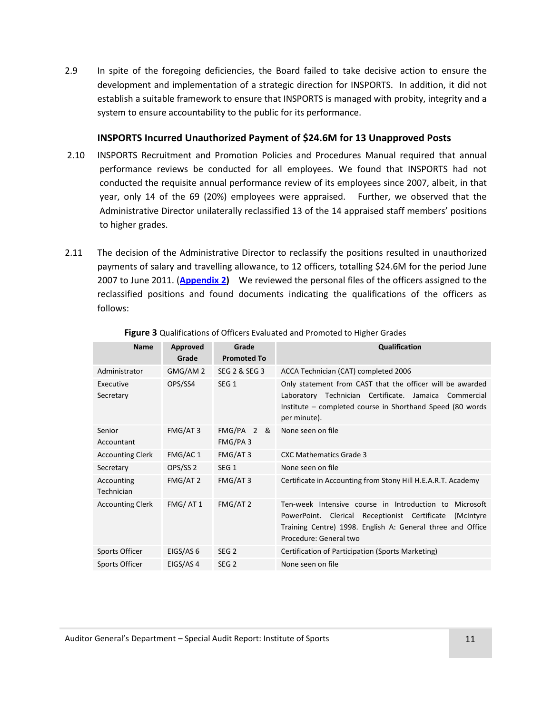2.9 In spite of the foregoing deficiencies, the Board failed to take decisive action to ensure the development and implementation of a strategic direction for INSPORTS. In addition, it did not establish a suitable framework to ensure that INSPORTS is managed with probity, integrity and a system to ensure accountability to the public for its performance.

#### **INSPORTS Incurred Unauthorized Payment of \$24.6M for 13 Unapproved Posts**

- <span id="page-10-0"></span>2.10 INSPORTS Recruitment and Promotion Policies and Procedures Manual required that annual performance reviews be conducted for all employees. We found that INSPORTS had not conducted the requisite annual performance review of its employees since 2007, albeit, in that year, only 14 of the 69 (20%) employees were appraised. Further, we observed that the Administrative Director unilaterally reclassified 13 of the 14 appraised staff members' positions to higher grades.
- 2.11 The decision of the Administrative Director to reclassify the positions resulted in unauthorized payments of salary and travelling allowance, to 12 officers, totalling \$24.6M for the period June 2007 to June 2011. (**[Appendix 2\)](#page-14-2)** We reviewed the personal files of the officers assigned to the reclassified positions and found documents indicating the qualifications of the officers as follows:

| <b>Name</b>              | Approved<br>Grade   | Grade<br><b>Promoted To</b>         | <b>Qualification</b>                                                                                                                                                                                                |
|--------------------------|---------------------|-------------------------------------|---------------------------------------------------------------------------------------------------------------------------------------------------------------------------------------------------------------------|
| Administrator            | GMG/AM 2            | SEG 2 & SEG 3                       | ACCA Technician (CAT) completed 2006                                                                                                                                                                                |
| Executive<br>Secretary   | OPS/SS4             | SEG <sub>1</sub>                    | Only statement from CAST that the officer will be awarded<br>Laboratory Technician Certificate. Jamaica<br>Commercial<br>Institute – completed course in Shorthand Speed (80 words<br>per minute).                  |
| Senior<br>Accountant     | FMG/AT3             | FMG/PA <sub>2</sub><br>&<br>FMG/PA3 | None seen on file                                                                                                                                                                                                   |
| <b>Accounting Clerk</b>  | FMG/AC 1            | FMG/AT3                             | <b>CXC Mathematics Grade 3</b>                                                                                                                                                                                      |
| Secretary                | OPS/SS <sub>2</sub> | SEG <sub>1</sub>                    | None seen on file                                                                                                                                                                                                   |
| Accounting<br>Technician | FMG/AT 2            | FMG/AT3                             | Certificate in Accounting from Stony Hill H.E.A.R.T. Academy                                                                                                                                                        |
| <b>Accounting Clerk</b>  | FMG/AT1             | FMG/AT 2                            | Ten-week Intensive course in Introduction to<br>Microsoft<br>PowerPoint. Clerical<br>Receptionist Certificate<br>(McIntyre)<br>Training Centre) 1998. English A: General three and Office<br>Procedure: General two |
| Sports Officer           | EIGS/AS 6           | SEG <sub>2</sub>                    | Certification of Participation (Sports Marketing)                                                                                                                                                                   |
| Sports Officer           | EIGS/AS 4           | SEG <sub>2</sub>                    | None seen on file                                                                                                                                                                                                   |

#### **Figure 3** Qualifications of Officers Evaluated and Promoted to Higher Grades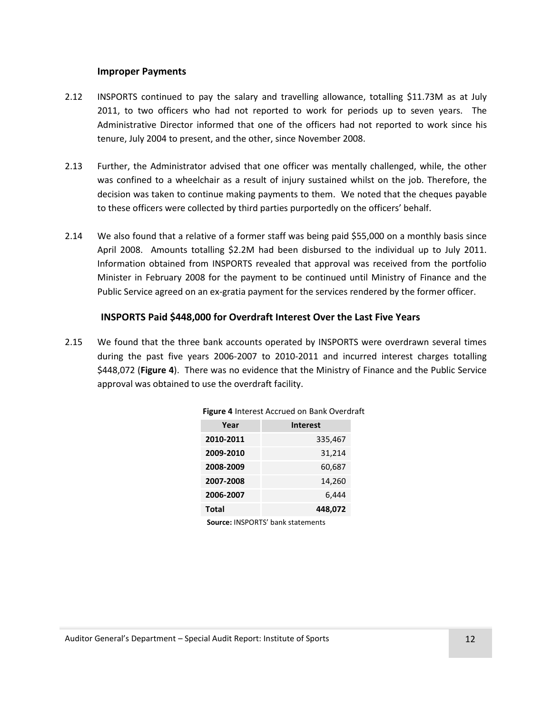#### **Improper Payments**

- <span id="page-11-0"></span>2.12 INSPORTS continued to pay the salary and travelling allowance, totalling \$11.73M as at July 2011, to two officers who had not reported to work for periods up to seven years. The Administrative Director informed that one of the officers had not reported to work since his tenure, July 2004 to present, and the other, since November 2008.
- 2.13 Further, the Administrator advised that one officer was mentally challenged, while, the other was confined to a wheelchair as a result of injury sustained whilst on the job. Therefore, the decision was taken to continue making payments to them. We noted that the cheques payable to these officers were collected by third parties purportedly on the officers' behalf.
- 2.14 We also found that a relative of a former staff was being paid \$55,000 on a monthly basis since April 2008. Amounts totalling \$2.2M had been disbursed to the individual up to July 2011. Information obtained from INSPORTS revealed that approval was received from the portfolio Minister in February 2008 for the payment to be continued until Ministry of Finance and the Public Service agreed on an ex-gratia payment for the services rendered by the former officer.

#### <span id="page-11-1"></span>**INSPORTS Paid \$448,000 for Overdraft Interest Over the Last Five Years**

2.15 We found that the three bank accounts operated by INSPORTS were overdrawn several times during the past five years 2006-2007 to 2010-2011 and incurred interest charges totalling \$448,072 (**Figure 4**). There was no evidence that the Ministry of Finance and the Public Service approval was obtained to use the overdraft facility.

| Year         | <b>Interest</b> |
|--------------|-----------------|
| 2010-2011    | 335,467         |
| 2009-2010    | 31,214          |
| 2008-2009    | 60,687          |
| 2007-2008    | 14,260          |
| 2006-2007    | 6,444           |
| <b>Total</b> | 448,072         |

**Source:** INSPORTS' bank statements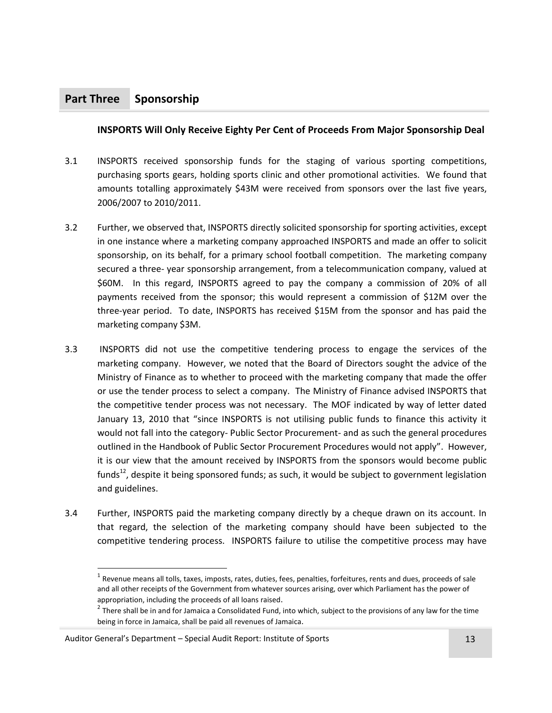# <span id="page-12-2"></span><span id="page-12-0"></span>**Part Three Sponsorship**

#### <span id="page-12-1"></span>**INSPORTS Will Only Receive Eighty Per Cent of Proceeds From Major Sponsorship Deal**

- 3.1 INSPORTS received sponsorship funds for the staging of various sporting competitions, purchasing sports gears, holding sports clinic and other promotional activities. We found that amounts totalling approximately \$43M were received from sponsors over the last five years, 2006/2007 to 2010/2011.
- 3.2 Further, we observed that, INSPORTS directly solicited sponsorship for sporting activities, except in one instance where a marketing company approached INSPORTS and made an offer to solicit sponsorship, on its behalf, for a primary school football competition. The marketing company secured a three- year sponsorship arrangement, from a telecommunication company, valued at \$60M. In this regard, INSPORTS agreed to pay the company a commission of 20% of all payments received from the sponsor; this would represent a commission of \$12M over the three-year period. To date, INSPORTS has received \$15M from the sponsor and has paid the marketing company \$3M.
- 3.3 INSPORTS did not use the competitive tendering process to engage the services of the marketing company. However, we noted that the Board of Directors sought the advice of the Ministry of Finance as to whether to proceed with the marketing company that made the offer or use the tender process to select a company. The Ministry of Finance advised INSPORTS that the competitive tender process was not necessary. The MOF indicated by way of letter dated January 13, 2010 that "since INSPORTS is not utilising public funds to finance this activity it would not fall into the category- Public Sector Procurement- and as such the general procedures outlined in the Handbook of Public Sector Procurement Procedures would not apply". However, it is our view that the amount received by INSPORTS from the sponsors would become public funds<sup>12</sup>, despite it being sponsored funds; as such, it would be subject to government legislation and guidelines.
- 3.4 Further, INSPORTS paid the marketing company directly by a cheque drawn on its account. In that regard, the selection of the marketing company should have been subjected to the competitive tendering process. INSPORTS failure to utilise the competitive process may have

 $\overline{\phantom{0}}$ 

 $^1$  Revenue means all tolls, taxes, imposts, rates, duties, fees, penalties, forfeitures, rents and dues, proceeds of sale and all other receipts of the Government from whatever sources arising, over which Parliament has the power of appropriation, including the proceeds of all loans raised.

 $2^{2}$  There shall be in and for Jamaica a Consolidated Fund, into which, subject to the provisions of any law for the time being in force in Jamaica, shall be paid all revenues of Jamaica.

Auditor General's Department – Special Audit Report: Institute of Sports 13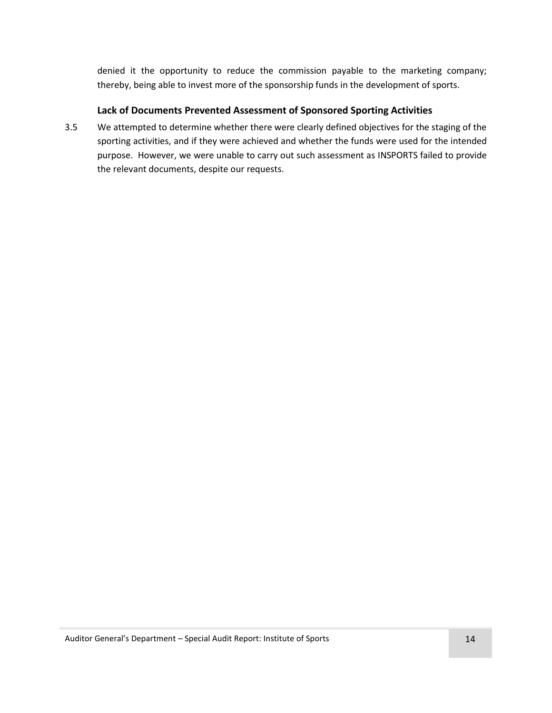denied it the opportunity to reduce the commission payable to the marketing company; thereby, being able to invest more of the sponsorship funds in the development of sports.

#### **Lack of Documents Prevented Assessment of Sponsored Sporting Activities**

<span id="page-13-0"></span>3.5 We attempted to determine whether there were clearly defined objectives for the staging of the sporting activities, and if they were achieved and whether the funds were used for the intended purpose. However, we were unable to carry out such assessment as INSPORTS failed to provide the relevant documents, despite our requests.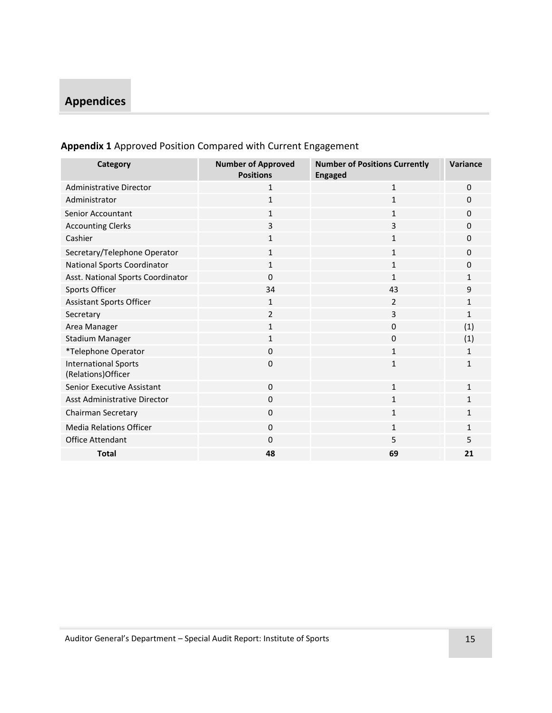# <span id="page-14-0"></span>**Appendices**

<span id="page-14-2"></span>

| Category                                           | <b>Number of Approved</b><br><b>Positions</b> | <b>Number of Positions Currently</b><br><b>Engaged</b> | Variance     |
|----------------------------------------------------|-----------------------------------------------|--------------------------------------------------------|--------------|
| <b>Administrative Director</b>                     | $\mathbf{1}$                                  | $\mathbf{1}$                                           | $\Omega$     |
| Administrator                                      | $\mathbf{1}$                                  | $\mathbf{1}$                                           | $\Omega$     |
| <b>Senior Accountant</b>                           | $\mathbf{1}$                                  | $\mathbf{1}$                                           | $\Omega$     |
| <b>Accounting Clerks</b>                           | $\overline{3}$                                | 3                                                      | $\Omega$     |
| Cashier                                            | $\mathbf{1}$                                  | $\mathbf{1}$                                           | $\Omega$     |
| Secretary/Telephone Operator                       | $\mathbf{1}$                                  | $\mathbf{1}$                                           | $\Omega$     |
| National Sports Coordinator                        | $\mathbf{1}$                                  | $\mathbf{1}$                                           | $\Omega$     |
| Asst. National Sports Coordinator                  | $\mathbf 0$                                   | $\mathbf{1}$                                           | 1            |
| Sports Officer                                     | 34                                            | 43                                                     | 9            |
| <b>Assistant Sports Officer</b>                    | $\mathbf{1}$                                  | 2                                                      | $\mathbf{1}$ |
| Secretary                                          | $\overline{2}$                                | 3                                                      | $\mathbf{1}$ |
| Area Manager                                       | $\mathbf{1}$                                  | 0                                                      | (1)          |
| Stadium Manager                                    | $\mathbf{1}$                                  | 0                                                      | (1)          |
| *Telephone Operator                                | $\mathbf 0$                                   | $\mathbf{1}$                                           | $\mathbf{1}$ |
| <b>International Sports</b><br>(Relations) Officer | $\Omega$                                      | $\mathbf{1}$                                           | $\mathbf{1}$ |
| <b>Senior Executive Assistant</b>                  | $\mathbf 0$                                   | $\mathbf{1}$                                           | $\mathbf{1}$ |
| Asst Administrative Director                       | $\mathbf 0$                                   | $\mathbf{1}$                                           | $\mathbf{1}$ |
| Chairman Secretary                                 | $\mathbf 0$                                   | $\mathbf{1}$                                           | $\mathbf{1}$ |
| <b>Media Relations Officer</b>                     | $\Omega$                                      | $\mathbf{1}$                                           | $\mathbf{1}$ |
| Office Attendant                                   | $\mathbf 0$                                   | 5                                                      | 5            |
| <b>Total</b>                                       | 48                                            | 69                                                     | 21           |

# <span id="page-14-1"></span>**Appendix 1** Approved Position Compared with Current Engagement